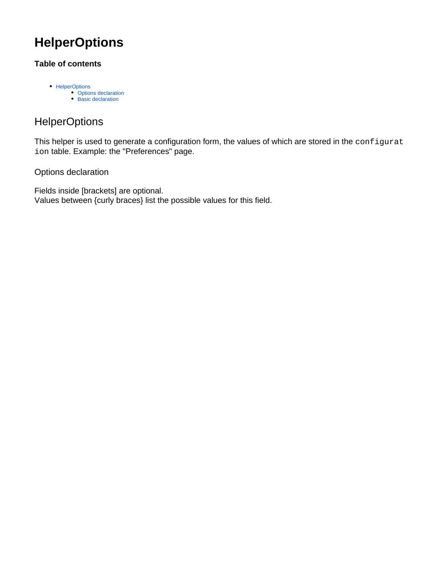## **HelperOptions**

## **Table of contents**

- [HelperOptions](#page-0-0)
	- [Options declaration](#page-0-1) • [Basic declaration](#page-1-0)

## <span id="page-0-0"></span>**HelperOptions**

This helper is used to generate a configuration form, the values of which are stored in the configurat ion table. Example: the "Preferences" page.

<span id="page-0-1"></span>Options declaration

Fields inside [brackets] are optional. Values between {curly braces} list the possible values for this field.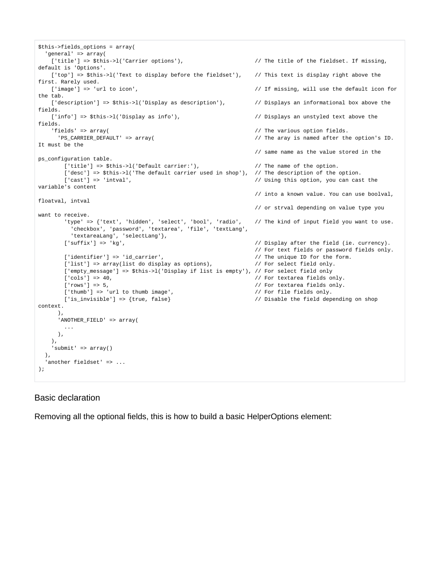```
$this->fields_options = array(
  'general' => array(
   ['title'] => $this->l('Carrier options'), \frac{1}{2} The title of the fieldset. If missing,
default is 'Options'.
  ['top'] => $this->l('Text to display before the fieldset'), // This text is display right above the
first. Rarely used.
  ['image'] => 'url to icon', \frac{1}{2} / If missing, will use the default icon for
the tab.
   ['description'] => $this->l('Display as description'), \qquad // Displays an informational box above the
fields. 
    ['info'] => $this->l('Display as info'), // Displays an unstyled text above the 
fields.
   'fields' => array( \frac{1}{2} // The various option fields.
     'PS_CARRIER_DEFAULT' => array( // The aray is named after the option's ID. 
It must be the 
                                                           // same name as the value stored in the 
ps_configuration table.
      ['title'] => $this->l('Default carrier:'), \qquad // The name of the option.
      ['desc'] => $this->l('The default carrier used in shop'), // The description of the option.
       ['cast'] => 'intval', // Using this option, you can cast the 
variable's content
                                                           // into a known value. You can use boolval, 
floatval, intval 
                                                           // or strval depending on value type you 
want to receive.
       'type' => {'text', 'hidden', 'select', 'bool', 'radio', // The kind of input field you want to use. 
         'checkbox', 'password', 'textarea', 'file', 'textLang', 
         'textareaLang', 'selectLang'},
       ['suffix'] => 'kg', // Display after the field (ie. currency).
                                                           // For text fields or password fields only.
      ['identifier'] => 'id_carrier', \frac{1}{2} // The unique ID for the form.
      ['list'] => array(list do display as options), \frac{1}{2} For select field only.
       ['empty_message'] => $this->l('Display if list is empty'), // For select field only
      ['cols'] => 40, \sqrt{2} / For textarea fields only.
       ['rows'] => 5, // For textarea fields only.
      ['thumb'] => 'url to thumb image', \frac{1}{2} / For file fields only.
       ['is_invisible'] => {true, false} // Disable the field depending on shop 
context.
     \lambda.
      'ANOTHER_FIELD' => array(
 ...
     ),
    ),
    'submit' => array()
  ),
 'another fieldset' => ...
);
```
## <span id="page-1-0"></span>Basic declaration

Removing all the optional fields, this is how to build a basic HelperOptions element: